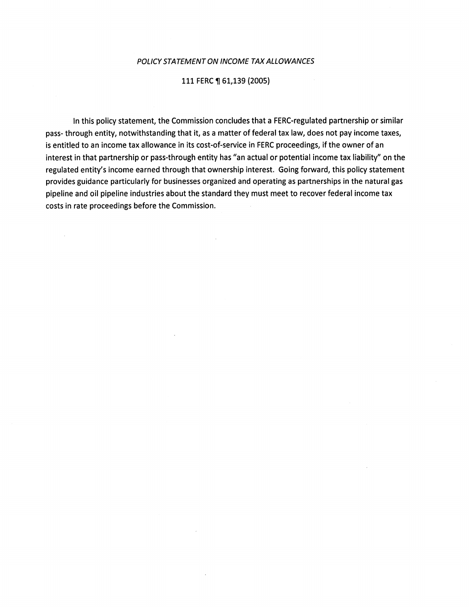#### POLICY STATEMENT ON INCOME TAX ALLOWANCES

#### 111 FERC ¶ 61,139 (2005)

In this policy statement, the Commission concludes that a FERC-regulated partnership or similar pass- through entity, notwithstanding that it, as a matter of federal tax law, does not pay income taxes, is entitled to an income tax allowance in its cost-of-service in FERC proceedings, if the owner of an interest in that partnership or pass-through entity has "an actual or potential income tax liability" on the regulated entity's income earned through that ownership interest. Going forward, this policy statement provides guidance particularly for businesses organized and operating as partnerships in the natural gas pipeline and oil pipeline industries about the standard they must meet to recover federal income tax costs in rate proceedings before the Commission.

 $\sim$   $\sim$ 

 $\sim$ 

 $\mathcal{A}^{\mathcal{A}}$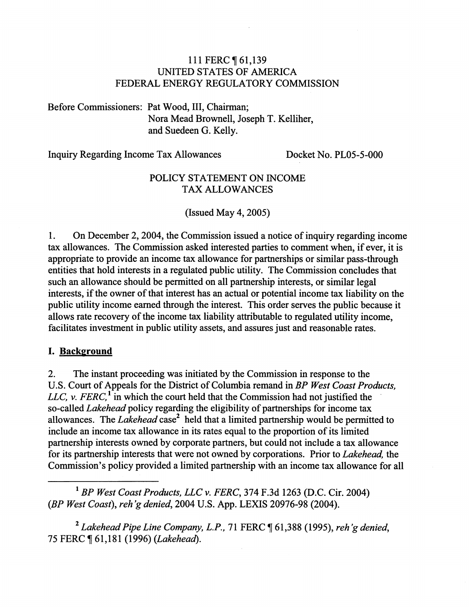# 111 FERC 161,139 UNITED STATES OF AMERICA FEDERAL ENERGY REGULATORY COMMISSION

Before Commissioners: Pat Wood, III, Chairman; Nora Mead Brownell, Joseph T. Kelliher, and Suedeen G. Kelly.

Inquiry Regarding Income Tax Allowances Docket No. PL05-5-000

# POLICY STATEMENT ON INCOME TAX ALLOWANCES

(Issued May 4, 2005)

1. On December 2, 2004, the Commission issued a notice of inquiry regarding income tax allowances. The Commission asked interested parties to comment when, if ever, it is appropriate to provide an income tax allowance for partnerships or similar pass-through entities that hold interests in a regulated public utility. The Commission concludes that such an allowance should be permitted on all partnership interests, or similar legal interests, if the owner of that interest has an actual or potential income tax liability on the public utility income earned through the interest. This order serves the public because it allows rate recovery of the income tax liability attributable to regulated utility income, facilitates investment in public utility assets, and assures just and reasonable rates.

# I. **Background**

2. The instant proceeding was initiated by the Commission in response to the U.S. Court of Appeals for the District of Columbia remand in *BP West Coast Products, LLC, v. FERC*,<sup>1</sup> in which the court held that the Commission had not justified the so-called *Lakehead* policy regarding the eligibility of partnerships for income tax allowances. The *Lakehead* case<sup>2</sup> held that a limited partnership would be permitted to include an income tax allowance in its rates equal to the proportion of its limited partnership interests owned by corporate partners, but could not include a tax allowance for its partnership interests that were not owned by corporations. Prior to *Lakehead,* the Commission's policy provided a limited partnership with an income tax allowance for all

<sup>1</sup>*BP West Coast Products, LLC v. FERC,* 374 F.3d 1263 (D.C. Cir. 2004) *(BP West Coast), reh 'g denied,* 2004 U.S. App. LEXIS 20976-98 (2004).

<sup>2</sup> Lakehead Pipe Line Company, L.P., 71 FERC ¶ 61,388 (1995), reh'g denied, 75 FERC ~ 61,181 (1996) *(Lakehead).*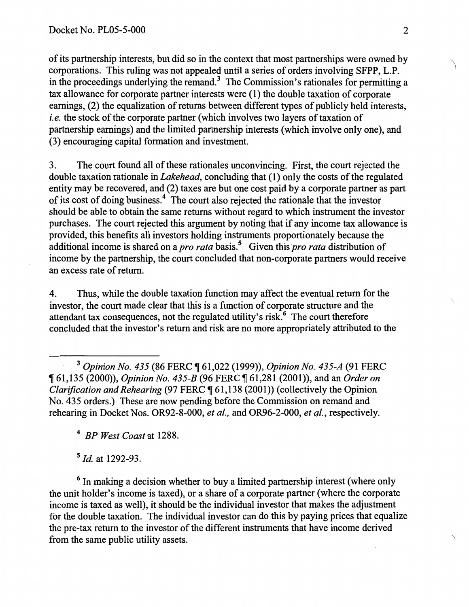of its partnership interests, but did so in the context that most partnerships were owned by corporations. This ruling was not appealed until a series of orders involving SFPP, L.P. in the proceedings underlying the remand.<sup>3</sup> The Commission's rationales for permitting a tax allowance for corporate partner interests were (1) the double taxation of corporate earnings, (2) the equalization of returns between different types of publicly held interests, *i.e.* the stock of the corporate partner (which involves two layers of taxation of partnership earnings) and the limited partnership interests (which involve only one), and (3) encouraging capital formation and investment.

3. The court found all of these rationales unconvincing. First, the court rejected the double taxation rationale in *Lakehead,* concluding that (1) only the costs of the regulated entity may be recovered, and (2) taxes are but one cost paid by a corporate partner as part of its cost of doing business. 4 The court also rejected the rationale that the investor should be able to obtain the same returns without regard to which instrument the investor purchases. The court rejected this argument by noting that if any income tax allowance is provided, this benefits all investors holding instruments proportionately because the additional income is shared on a *pro rata* basis.5 Given this *pro rata* distribution of income by the partnership, the court concluded that non-corporate partners would receive an excess rate of return.

4. Thus, while the double taxation function may affect the eventual return for the investor, the court made clear that this is a function of corporate structure and the attendant tax consequences, not the regulated utility's risk.<sup>6</sup> The court therefore concluded that the investor's return and risk are no more appropriately attributed to the

<sup>3</sup> Opinion No. 435 (86 FERC ¶ 61,022 (1999)), *Opinion No. 435-A* (91 FERC **[61,135 (2000)),** *Opinion No. 435-B* **(96 FERC [61,281 (2001)), and an** *Order on Clarification and Rehearing (97 FERC ¶ 61,138 (2001)) (collectively the Opinion* No. 435 orders.) These are now pending before the Commission on remand and rehearing in Docket Nos. OR92-8-000, *eta/.,* and OR96-2-000, *et* al., respectively.

<sup>4</sup>*BP West Coast* at 1288.

<sup>5</sup>*Id* at 1292-93.

 $6$  In making a decision whether to buy a limited partnership interest (where only the unit holder's income is taxed), or a share of a corporate partner (where the corporate income is taxed as well), it should be the individual investor that makes the adjustment for the double taxation. The individual investor can do this by paying prices that equalize the pre-tax return to the investor of the different instruments that have income derived from the same public utility assets.  $\blacksquare$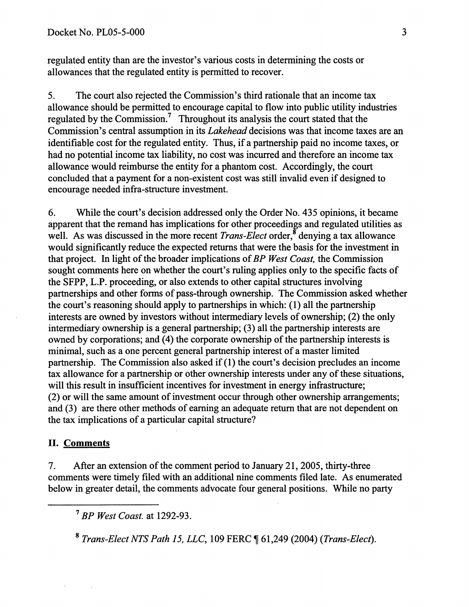regulated entity than are the investor's various costs in determining the costs or allowances that the regulated entity is permitted to recover.

5. The court also rejected the Commission's third rationale that an income tax allowance should be permitted to encourage capital to flow into public utility industries regulated by the Commission.' Throughout its analysis the court stated that the Commission's central assumption in its *Lakehead* decisions was that income taxes are an identifiable cost for the regulated entity. Thus, if a partnership paid no income taxes, or had no potential income tax liability, no cost was incurred and therefore an income tax allowance would reimburse the entity for a phantom cost. Accordingly, the court concluded that a payment for a non-existent cost was still invalid even if designed to encourage needed infra-structure investment.

6. While the court's decision addressed only the Order No. 435 opinions, it became apparent that the remand has implications for other proceedings and regulated utilities as well. As was discussed in the more recent *Trans-Elect* order,<sup>8</sup> denying a tax allowance would significantly reduce the expected returns that were the basis for the investment in that project. In light of the broader implications of *BP West Coast,* the Commission sought comments here on whether the court's ruling applies only to the specific facts of the SFPP, L.P. proceeding, or also extends to other capital structures involving partnerships and other forms of pass-through ownership. The Commission asked whether the court's reasoning should apply to partnerships in which: (1) all the partnership interests are owned by investors without intermediary levels of ownership; (2) the only intermediary ownership is a general partnership; (3) all the partnership interests are owned by corporations; and (4) the corporate ownership of the partnership interests is minimal, such as a one percent general partnership interest of a master limited partnership. The Commission also asked if(1) the court's decision precludes an income tax allowance for a partnership or other ownership interests under any of these situations, will this result in insufficient incentives for investment in energy infrastructure; (2) or will the same amount of investment occur through other ownership arrangements; and (3) are there other methods of earning an adequate return that are not dependent on the tax implications of a particular capital structure?

### II. Comments

7. After an extension of the comment period to January 21,2005, thirty-three comments were timely filed with an additional nine comments filed late. As enumerated below in greater detail, the comments advocate four general positions. While no party

<sup>7</sup>*BP West Coast.* at 1292-93.

<sup>8</sup>*Trans-Elect NTS Path 15, LLC,* 109 FERC ~ 61,249 (2004) *(Trans-Elect).*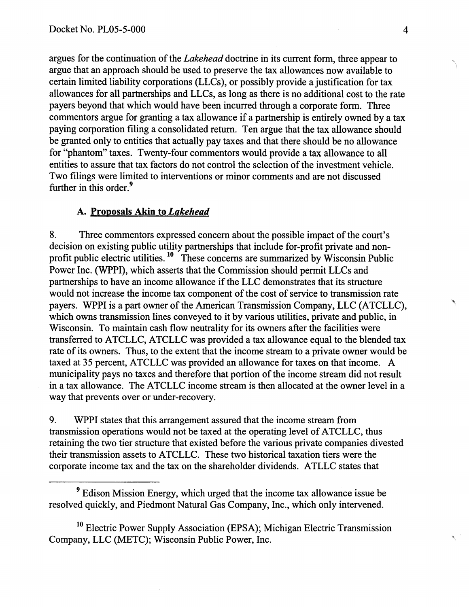argues for the continuation of the *Lakehead* doctrine in its current form, three appear to argue that an approach should be used to preserve the tax allowances now available to certain limited liability corporations (LLCs ), or possibly provide a justification for tax allowances for all partnerships and LLCs, as long as there is no additional cost to the rate payers beyond that which would have been incurred through a corporate form. Three commentors argue for granting a tax allowance if a partnership is entirely owned by a tax paying corporation filing a consolidated return. Ten argue that the tax allowance should be granted only to entities that actually pay taxes and that there should be no allowance for "phantom" taxes. Twenty-four commentors would provide a tax allowance to all entities to assure that tax factors do not control the selection of the investment vehicle. Two filings were limited to interventions or minor comments and are not discussed further in this order.<sup>9</sup>

### A. Proposals Akin to *Lakehead*

8. Three commentors expressed concern about the possible impact of the court's decision on existing public utility partnerships that include for-profit private and nonprofit public electric utilities. 10 These concerns are summarized by Wisconsin Public Power Inc. (WPPI), which asserts that the Commission should permit LLCs and partnerships to have an income allowance if the LLC demonstrates that its structure would not increase the income tax component of the cost of service to transmission rate payers. WPPI is a part owner of the American Transmission Company, LLC (ATCLLC), which owns transmission lines conveyed to it by various utilities, private and public, in Wisconsin. To maintain cash flow neutrality for its owners after the facilities were transferred to ATCLLC, ATCLLC was provided a tax allowance equal to the blended tax rate of its owners. Thus, to the extent that the income stream to a private owner would be taxed at 35 percent, ATCLLC was provided an allowance for taxes on that income. A municipality pays no taxes and therefore that portion of the income stream did not result in a tax allowance. The ATCLLC income stream is then allocated at the owner level in a way that prevents over or under-recovery.

9. WPPI states that this arrangement assured that the income stream from transmission operations would not be taxed at the operating level of ATCLLC, thus retaining the two tier structure that existed before the various private companies divested their transmission assets to ATCLLC. These two historical taxation tiers were the corporate income tax and the tax on the shareholder dividends. ATLLC states that

<sup>10</sup> Electric Power Supply Association (EPSA); Michigan Electric Transmission Company, LLC (METC); Wisconsin Public Power, Inc.

<sup>9</sup> Edison Mission Energy, which urged that the income tax allowance issue be resolved quickly, and Piedmont Natural Gas Company, Inc., which only intervened.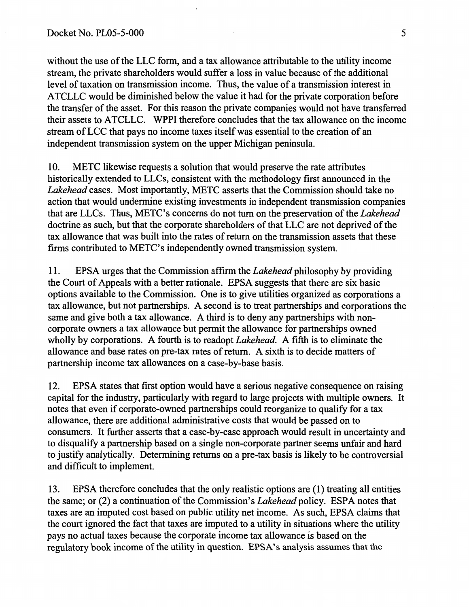without the use of the LLC form, and a tax allowance attributable to the utility income stream, the private shareholders would suffer a loss in value because of the additional level of taxation on transmission income. Thus, the value of a transmission interest in ATCLLC would be diminished below the value it had for the private corporation before the transfer of the asset. For this reason the private companies would not have transferred their assets to ATCLLC. WPPI therefore concludes that the tax allowance on the income stream of LCC that pays no income taxes itself was essential to the creation of an independent transmission system on the upper Michigan peninsula.

10. METC likewise requests a solution that would preserve the rate attributes historically extended to LLCs, consistent with the methodology first announced in the *Lakehead* cases. Most importantly, METC asserts that the Commission should take no action that would undermine existing investments in independent transmission companies that are LLCs. Thus, METC's concerns do not tum on the preservation of the *Lakehead*  doctrine as such, but that the corporate shareholders of that LLC are not deprived of the tax allowance that was built into the rates of return on the transmission assets that these firms contributed to METC's independently owned transmission system.

11. EPSA urges that the Commission affirm the *Lakehead* philosophy by providing the Court of Appeals with a better rationale. EPSA suggests that there are six basic options available to the Commission. One is to give utilities organized as corporations a tax allowance, but not partnerships. A second is to treat partnerships and corporations the same and give both a tax allowance. A third is to deny any partnerships with noncorporate owners a tax allowance but permit the allowance for partnerships owned wholly by corporations. A fourth is to readopt *Lakehead.* A fifth is to eliminate the allowance and base rates on pre-tax rates of return. A sixth is to decide matters of partnership income tax allowances on a case-by-base basis.

12. EPSA states that first option would have a serious negative consequence on raising capital for the industry, particularly with regard to large projects with multiple owners. It notes that even if corporate-owned partnerships could reorganize to qualify for a tax allowance, there are additional administrative costs that would be passed on to consumers. It further asserts that a case-by-case approach would result in uncertainty and to disqualify a partnership based on a single non-corporate partner seems unfair and hard to justify analytically. Determining returns on a pre-tax basis is likely to be controversial and difficult to implement.

13. EPSA therefore concludes that the only realistic options are (1) treating all entities the same; or (2) a continuation of the Commission's *Lakehead* policy. ESPA notes that taxes are an imputed cost based on public utility net income. As such, EPSA claims that the court ignored the fact that taxes are imputed to a utility in situations where the utility pays no actual taxes because the corporate income tax allowance is based on the regulatory book income of the utility in question. EPSA's analysis assumes that the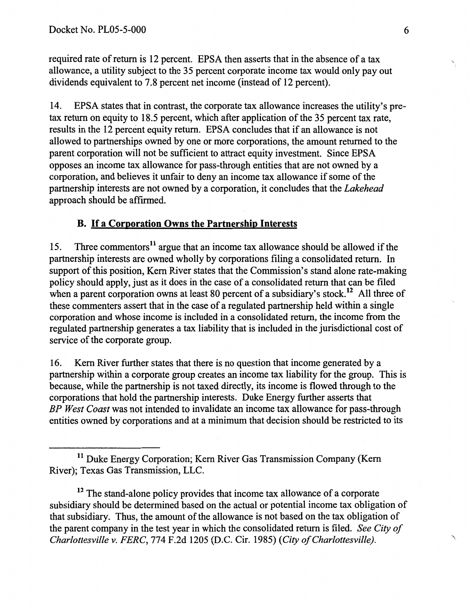required rate of return is 12 percent. EPSA then asserts that in the absence of a tax allowance, a utility subject to the 35 percent corporate income tax would only pay out dividends equivalent to 7.8 percent net income (instead of 12 percent).

14. EPSA states that in contrast, the corporate tax allowance increases the utility's pretax return on equity to 18.5 percent, which after application of the 35 percent tax rate, results in the 12 percent equity return. EPSA concludes that if an allowance is not allowed to partnerships owned by one or more corporations, the amount returned to the parent corporation will not be sufficient to attract equity investment. Since EPSA opposes an income tax allowance for pass-through entities that are not owned by a corporation, and believes it unfair to deny an income tax allowance if some of the partnership interests are not owned by a corporation, it concludes that the *Lakehead*  approach should be affirmed.

# B. If a Corporation Owns the Partnership Interests

15. Three commentors<sup>11</sup> argue that an income tax allowance should be allowed if the partnership interests are owned wholly by corporations filing a consolidated return. In support of this position, Kern River states that the Commission's stand alone rate-making policy should apply, just as it does in the case of a consolidated return that can be filed when a parent corporation owns at least 80 percent of a subsidiary's stock.<sup>12</sup> All three of these commenters assert that in the case of a regulated partnership held within a single corporation and whose income is included in a consolidated return, the income from the regulated partnership generates a tax liability that is included in the jurisdictional cost of service of the corporate group.

16. Kern River further states that there is no question that income generated by a partnership within a corporate group creates an income tax liability for the group. This is because, while the partnership is not taxed directly, its income is flowed through to the corporations that hold the partnership interests. Duke Energy further asserts that *BP West Coast* was not intended to invalidate an income tax allowance for pass-through entities owned by corporations and at a minimum that decision should be restricted to its

<sup>12</sup> The stand-alone policy provides that income tax allowance of a corporate subsidiary should be determined based on the actual or potential income tax obligation of that subsidiary. Thus, the amount of the allowance is not based on the tax obligation of the parent company in the test year in which the consolidated return is filed. *See City of Charlottesville v. FERC,* 774 F.2d 1205 (D.C. Cir. 1985) *(City of Charlottesville).* \

,,

<sup>&</sup>lt;sup>11</sup> Duke Energy Corporation; Kern River Gas Transmission Company (Kern River); Texas Gas Transmission, LLC.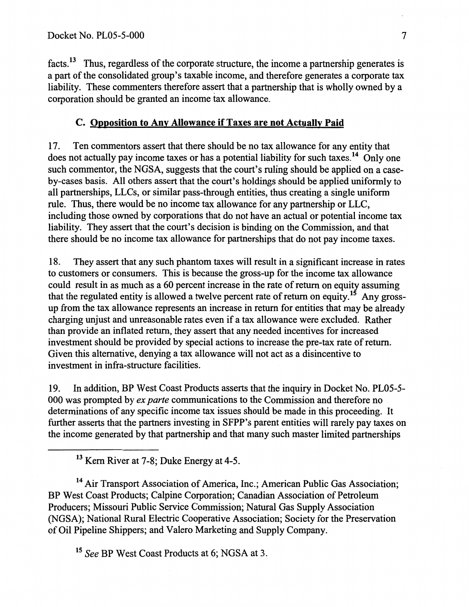facts.<sup>13</sup> Thus, regardless of the corporate structure, the income a partnership generates is a part of the consolidated group's taxable income, and therefore generates a corporate tax liability. These commenters therefore assert that a partnership that is wholly owned by a corporation should be granted an income tax allowance.

# C. Opposition to Any Allowance if Taxes are not Actually Paid

17. Ten commentors assert that there should be no tax allowance for any entity that does not actually pay income taxes or has a potential liability for such taxes.<sup>14</sup> Only one such commentor, the NGSA, suggests that the court's ruling should be applied on a caseby-cases basis. All others assert that the court's holdings should be applied uniformly to all partnerships, LLCs, or similar pass-through entities, thus creating a single uniform rule. Thus, there would be no income tax allowance for any partnership or LLC, including those owned by corporations that do not have an actual or potential income tax liability. They assert that the court's decision is binding on the Commission, and that there should be no income tax allowance for partnerships that do not pay income taxes.

18. They assert that any such phantom taxes will result in a significant increase in rates to customers or consumers. This is because the gross-up for the income tax allowance could result in as much as a 60 percent increase in the rate of return on equity assuming that the regulated entity is allowed a twelve percent rate of return on equity.<sup>15</sup> Any grossup from the tax allowance represents an increase in return for entities that may be already charging unjust and unreasonable rates even if a tax allowance were excluded. Rather than provide an inflated return, they assert that any needed incentives for increased investment should be provided by special actions to increase the pre-tax rate of return. Given this alternative, denying a tax allowance will not act as a disincentive to investment in infra-structure facilities.

19. In addition, BP West Coast Products asserts that the inquiry in Docket No. PL05-5- 000 was prompted by *ex parte* communications to the Commission and therefore no determinations of any specific income tax issues should be made in this proceeding. It further asserts that the partners investing in SFPP's parent entities will rarely pay taxes on the income generated by that partnership and that many such master limited partnerships

13 Kern River at 7-8; Duke Energy at 4-5.

<sup>14</sup> Air Transport Association of America, Inc.; American Public Gas Association; BP West Coast Products; Calpine Corporation; Canadian Association of Petroleum Producers; Missouri Public Service Commission; Natural Gas Supply Association (NGSA); National Rural Electric Cooperative Association; Society for the Preservation of Oil Pipeline Shippers; and Valero Marketing and Supply Company.

15 *See* BP West Coast Products at 6; NGSA at 3.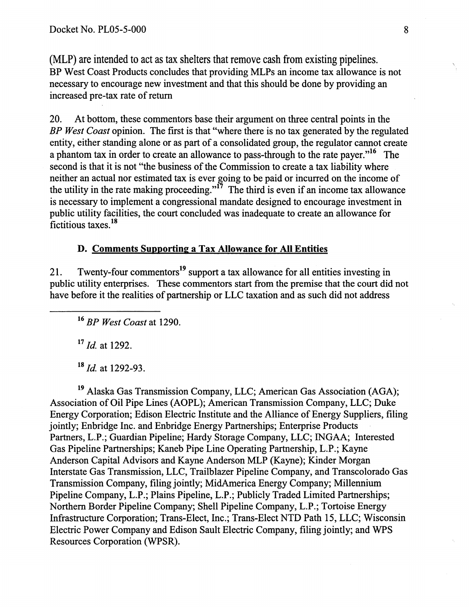(MLP) are intended to act as tax shelters that remove cash from existing pipelines. BP West Coast Products concludes that providing MLPs an income tax allowance is not necessary to encourage new investment and that this should be done by providing an increased pre-tax rate of return

20. At bottom, these commentors base their argument on three central points in the *BP West Coast* opinion. The first is that "where there is no tax generated by the regulated entity, either standing alone or as part of a consolidated group, the regulator cannot create a phantom tax in order to create an allowance to pass-through to the rate payer."<sup>16</sup> The second is that it is not "the business of the Commission to create a tax liability where neither an actual nor estimated tax is ever going to be paid or incurred on the income of the utility in the rate making proceeding."<sup>17</sup> The third is even if an income tax allowance is necessary to implement a congressional mandate designed to encourage investment in public utility facilities, the court concluded was inadequate to create an allowance for fictitious taxes. <sup>18</sup>

## D. Comments Supporting a Tax Allowance for All Entities

21. Twenty-four commentors<sup>19</sup> support a tax allowance for all entities investing in public utility enterprises. These commentors start from the premise that the court did not have before it the realities of partnership or LLC taxation and as such did not address

<sup>16</sup>*BP West Coast* at 1290.

 $17$  *Id.* at 1292.

<sup>18</sup>*/d.* at 1292-93.

19 Alaska Gas Transmission Company, LLC; American Gas Association (AGA); Association of Oil Pipe Lines (AOPL); American Transmission Company, LLC; Duke Energy Corporation; Edison Electric Institute and the Alliance of Energy Suppliers, filing jointly; Enbridge Inc. and Enbridge Energy Partnerships; Enterprise Products Partners, L.P.; Guardian Pipeline; Hardy Storage Company, LLC; INGAA; Interested Gas Pipeline Partnerships; Kaneb Pipe Line Operating Partnership, L.P.; Kayne Anderson Capital Advisors and Kayne Anderson MLP (Kayne); Kinder Morgan Interstate Gas Transmission, LLC, Trailblazer Pipeline Company, and Transcolorado Gas Transmission Company, filing jointly; MidAmerica Energy Company; Millennium Pipeline Company, L.P.; Plains Pipeline, L.P.; Publicly Traded Limited Partnerships; Northern Border Pipeline Company; Shell Pipeline Company, L.P.; Tortoise Energy Infrastructure Corporation; Trans-Elect, Inc.; Trans-Elect NTD Path 15, LLC; Wisconsin Electric Power Company and Edison Sault Electric Company, filing jointly; and WPS Resources Corporation (WPSR).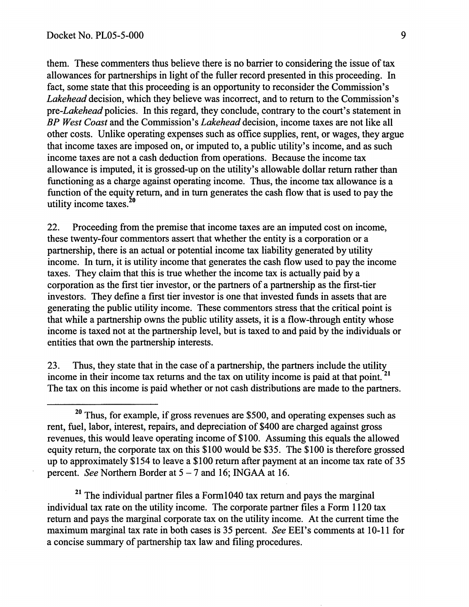them. These commenters thus believe there is no barrier to considering the issue of tax allowances for partnerships in light of the fuller record presented in this proceeding. In fact, some state that this proceeding is an opportunity to reconsider the Commission's *Lakehead* decision, which they believe was incorrect, and to return to the Commission's *pre-Lakehead* policies. In this regard, they conclude, contrary to the court's statement in *BP West Coast* and the Commission's *Lakehead* decision, income taxes are not like all other costs. Unlike operating expenses such as office supplies, rent, or wages, they argue that income taxes are imposed on, or imputed to, a public utility's income, and as such income taxes are not a cash deduction from operations. Because the income tax allowance is imputed, it is grossed-up on the utility's allowable dollar return rather than functioning as a charge against operating income. Thus, the income tax allowance is a function of the equity return, and in turn generates the cash flow that is used to pay the utility income taxes. $20$ 

22. Proceeding from the premise that income taxes are an imputed cost on income, these twenty-four commentors assert that whether the entity is a corporation or a partnership, there is an actual or potential income tax liability generated by utility income. In turn, it is utility income that generates the cash flow used to pay the income taxes. They claim that this is true whether the income tax is actually paid by a corporation as the first tier investor, or the partners of a partnership as the first-tier investors. They defme a first tier investor is one that invested funds in assets that are generating the public utility income. These commentors stress that the critical point is that while a partnership owns the public utility assets, it is a flow-through entity whose income is taxed not at the partnership level, but is taxed to and paid by the individuals or entities that own the partnership interests.

23. Thus, they state that in the case of a partnership, the partners include the utility income in their income tax returns and the tax on utility income is paid at that point.<sup>21</sup> The tax on this income is paid whether or not cash distributions are made to the partners.

 $21$  The individual partner files a Form1040 tax return and pays the marginal individual tax rate on the utility income. The corporate partner files a Form 1120 tax return and pays the marginal corporate tax on the utility income. At the current time the maximum marginal tax rate in both cases is 35 percent. *See* EEl's comments at I 0-11 for a concise summary of partnership tax law and filing procedures.

 $20$  Thus, for example, if gross revenues are \$500, and operating expenses such as rent, fuel, labor, interest, repairs, and depreciation of \$400 are charged against gross revenues, this would leave operating income of \$100. Assuming this equals the allowed equity return, the corporate tax on this \$100 would be \$35. The \$100 is therefore grossed up to approximately \$154 to leave a \$100 return after payment at an income tax rate of 35 percent. *See* Northern Border at 5-7 and 16; INGAA at 16.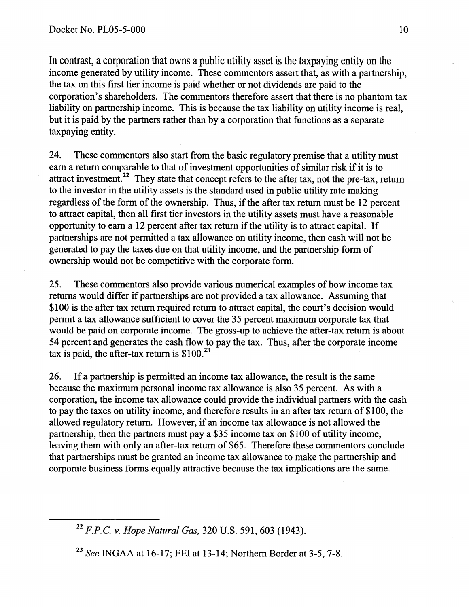In contrast, a corporation that owns a public utility asset is the taxpaying entity on the income generated by utility income. These commentors assert that, as with a partnership, the tax on this first tier income is paid whether or not dividends are paid to the corporation's shareholders. The commentors therefore assert that there is no phantom tax liability on partnership income. This is because the tax liability on utility income is real, but it is paid by the partners rather than by a corporation that functions as a separate taxpaying entity.

24. These commentors also start from the basic regulatory premise that a utility must earn a return comparable to that of investment opportunities of similar risk if it is to attract investment.<sup>22</sup> They state that concept refers to the after tax, not the pre-tax, return to the investor in the utility assets is the standard used in public utility rate making regardless of the form of the ownership. Thus, if the after tax return must be 12 percent to attract capital, then all first tier investors in the utility assets must have a reasonable opportunity to earn a 12 percent after tax return if the utility is to attract capital. If partnerships are not permitted a tax allowance on utility income, then cash will not be generated to pay the taxes due on that utility income, and the partnership form of ownership would not be competitive with the corporate form.

25. These commentors also provide various numerical examples of how income tax returns would differ if partnerships are not provided a tax allowance. Assuming that \$100 is the after tax return required return to attract capital, the court's decision would permit a tax allowance sufficient to cover the 35 percent maximum corporate tax that would be paid on corporate income. The gross-up to achieve the after-tax return is about 54 percent and generates the cash flow to pay the tax. Thus, after the corporate income tax is paid, the after-tax return is  $$100.<sup>23</sup>$ 

26. If a partnership is permitted an income tax allowance, the result is the same because the maximum personal income tax allowance is also 35 percent. As with a corporation, the income tax allowance could provide the individual partners with the cash to pay the taxes on utility income, and therefore results in an after tax return of \$100, the allowed regulatory return. However, if an income tax allowance is not allowed the partnership, then the partners must pay a \$35 income tax on \$100 of utility income, leaving them with only an after-tax return of \$65. Therefore these commentors conclude that partnerships must be granted an income tax allowance to make the partnership and corporate business forms equally attractive because the tax implications are the same.

<sup>22</sup>*F.P.C. v. Hope Natural Gas,* 320 U.S. 591, 603 (1943).

<sup>23</sup> *See* INGAA at 16-17; EEl at 13-14; Northern Border at 3-5, 7-8.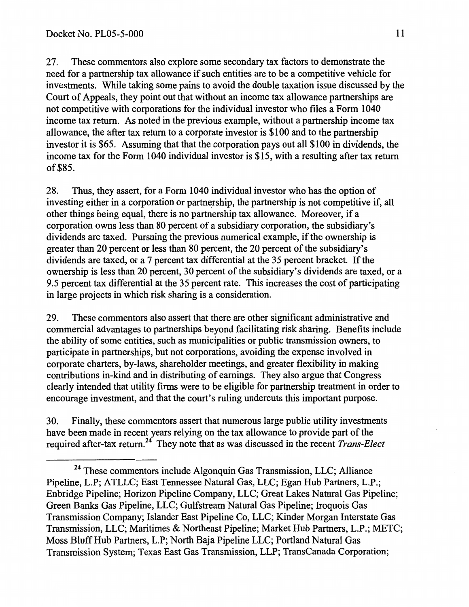27. These commentors also explore some secondary tax factors to demonstrate the need for a partnership tax allowance if such entities are to be a competitive vehicle for investments. While taking some pains to avoid the double taxation issue discussed by the Court of Appeals, they point out that without an income tax allowance partnerships are not competitive with corporations for the individual investor who files a Form 1040 income tax return. As noted in the previous example, without a partnership income tax allowance, the after tax return to a corporate investor is \$100 and to the partnership investor it is \$65. Assuming that that the corporation pays out all \$100 in dividends, the income tax for the Form 1040 individual investor is \$15, with a resulting after tax return of\$85.

28. Thus, they assert, for a Form 1040 individual investor who has the option of investing either in a corporation or partnership, the partnership is not competitive if, all other things being equal, there is no partnership tax allowance. Moreover, if a corporation owns less than 80 percent of a subsidiary corporation, the subsidiary's dividends are taxed. Pursuing the previous numerical example, if the ownership is greater than 20 percent or less than 80 percent, the 20 percent of the subsidiary's dividends are taxed, or a 7 percent tax differential at the 35 percent bracket. If the ownership is less than 20 percent, 30 percent of the subsidiary's dividends are taxed, or a 9.5 percent tax differential at the 35 percent rate. This increases the cost of participating in large projects in which risk sharing is a consideration.

29. These commentors also assert that there are other significant administrative and commercial advantages to partnerships beyond facilitating risk sharing. Benefits include the ability of some entities, such as municipalities or public transmission owners, to participate in partnerships, but not corporations, avoiding the expense involved in corporate charters, by-laws, shareholder meetings, and greater flexibility in making contributions in-kind and in distributing of earnings. They also argue that Congress clearly intended that utility firms were to be eligible for partnership treatment in order to encourage investment, and that the court's ruling undercuts this important purpose.

30. Finally, these commentors assert that numerous large public utility investments have been made in recent years relying on the tax allowance to provide part of the required after-tax return.24 They note that as was discussed in the recent *Trans-Elect* 

<sup>&</sup>lt;sup>24</sup> These commentors include Algonquin Gas Transmission, LLC; Alliance Pipeline, L.P; ATLLC; East Tennessee Natural Gas, LLC; Egan Hub Partners, L.P.; Enbridge Pipeline; Horizon Pipeline Company, LLC; Great Lakes Natural Gas Pipeline; Green Banks Gas Pipeline, LLC; Gulfstream Natural Gas Pipeline; Iroquois Gas Transmission Company; Islander East Pipeline Co, LLC; Kinder Morgan Interstate Gas Transmission, LLC; Maritimes & Northeast Pipeline; Market Hub Partners, L.P.; METC; Moss Bluff Hub Partners, L.P; North Baja Pipeline LLC; Portland Natural Gas Transmission System; Texas East Gas Transmission, LLP; TransCanada Corporation;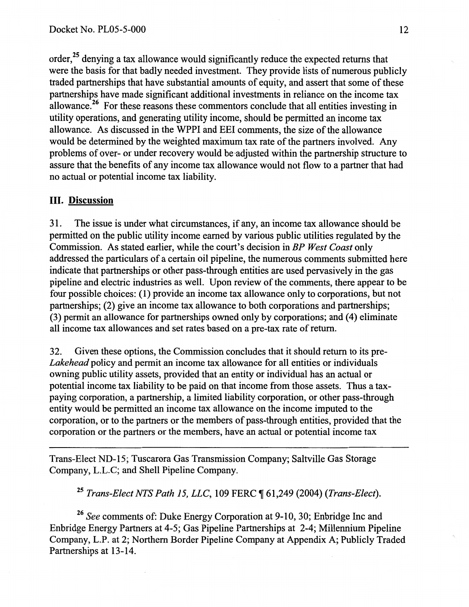order,<sup>25</sup> denying a tax allowance would significantly reduce the expected returns that were the basis for that badly needed investment. They provide lists of numerous publicly traded partnerships that have substantial amounts of equity, and assert that some of these partnerships have made significant additional investments in reliance on the income tax allowance.<sup>26</sup> For these reasons these commentors conclude that all entities investing in utility operations, and generating utility income, should be permitted an income tax allowance. As discussed in the WPPI and EEl comments, the size of the allowance would be determined by the weighted maximum tax rate of the partners involved. Any problems of over- or under recovery would be ·adjusted within the partnership structure to assure that the benefits of any income tax allowance would not flow to a partner that had no actual or potential income tax liability.

## III. Discussion

31. The issue is under what circumstances, if any, an income tax allowance should be permitted on the public utility income earned by various public utilities regulated by the Commission. As stated earlier, while the court's decision in *BP West Coast* only addressed the particulars of a certain oil pipeline, the numerous comments submitted here indicate that partnerships or other pass-through entities are used pervasively in the gas pipeline and electric industries as well. Upon review of the comments, there appear to be four possible choices: ( 1) provide an income tax allowance only to corporations, but not partnerships; (2) give an income tax allowance to both corporations and partnerships; (3) permit an allowance for partnerships owned only by corporations; and ( 4) eliminate all income tax allowances and set rates based on a pre-tax rate of return.

32. Given these options, the Commission concludes that it should return to its pre-*Lakehead* policy and permit an income tax allowance for all entities or individuals owning public utility assets, provided that an entity or individual has an actual or potential income tax liability to be paid on that income from those assets. Thus a taxpaying corporation, a partnership, a limited liability corporation, or other pass-through entity would be permitted an income tax allowance on the income imputed to the corporation, or to the partners or the members of pass-through entities, provided that the corporation or the partners or the members, have an actual or potential income tax

Trans-Elect ND-15; Tuscarora Gas Transmission Company; Saltville Gas Storage Company, L.L.C; and Shell Pipeline Company.

<sup>25</sup> Trans-Elect NTS Path 15, LLC, 109 FERC ¶ 61,249 (2004) (Trans-Elect).

<sup>26</sup>*See* comments of: Duke Energy Corporation at 9-10, 30; Enbridge Inc and Enbridge Energy Partners at 4-5; Gas Pipeline Partnerships at 2-4; Millennium Pipeline Company, L.P. at 2; Northern Border Pipeline Company at Appendix A; Publicly Traded Partnerships at 13-14.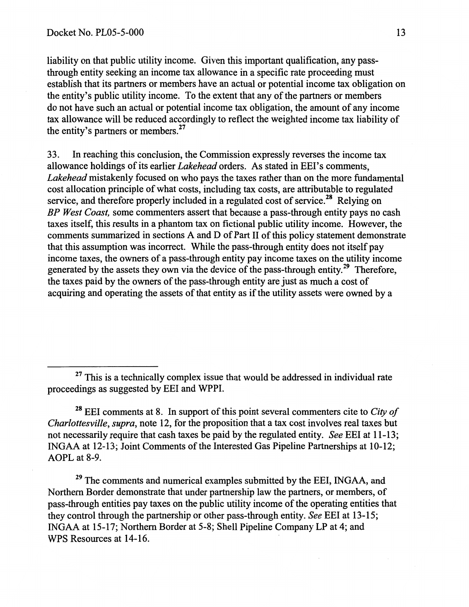liability on that public utility income. Given this important qualification, any passthrough entity seeking an income tax allowance in a specific rate proceeding must establish that its partners or members have an actual or potential income tax obligation on the entity's public utility income. To the extent that any of the partners or members do not have such an actual or potential income tax obligation, the amount of any income tax allowance will be reduced accordingly to reflect the weighted income tax liability of the entity's partners or members.<sup>27</sup>

33. In reaching this conclusion, the Commission expressly reverses the income tax allowance holdings of its earlier *Lakehead* orders. As stated in EEl's comments, *Lakehead* mistakenly focused on who pays the taxes rather than on the more fundamental cost allocation principle of what costs, including tax costs, are attributable to regulated service, and therefore properly included in a regulated cost of service.<sup>28</sup> Relying on *BP West Coast,* some commenters assert that because a pass-through entity pays no cash taxes itself, this results in a phantom tax on fictional public utility income. However, the comments summarized in sections A and D of Part II of this policy statement demonstrate that this assumption was incorrect. While the pass-through entity does not itself pay income taxes, the owners of a pass-through entity pay income taxes on the utility income generated by the assets they own via the device of the pass-through entity.<sup>29</sup> Therefore, the taxes paid by the owners of the pass-through entity are just as much a cost of acquiring and operating the assets of that entity as if the utility assets were owned by a

<sup>28</sup>EEl comments at 8. In support of this point several commenters cite to *City of Charlottesville, supra,* note 12, for the proposition that a tax cost involves real taxes but not necessarily require that cash taxes be paid by the regulated entity. *See* EEl at 11-13; INGAA at 12-13; Joint Comments of the Interested Gas Pipeline Partnerships at 10-12; AOPL at 8-9.

 $29$  The comments and numerical examples submitted by the EEI, INGAA, and Northern Border demonstrate that under partnership law the partners, or members, of pass-through entities pay taxes on the public utility income of the operating entities that they control through the partnership or other pass-through entity. *See* EEl at 13-15; INGAA at 15-17; Northern Border at 5-8; Shell Pipeline Company LP at 4; and WPS Resources at 14-16.

 $27$  This is a technically complex issue that would be addressed in individual rate proceedings as suggested by EEl and WPPI.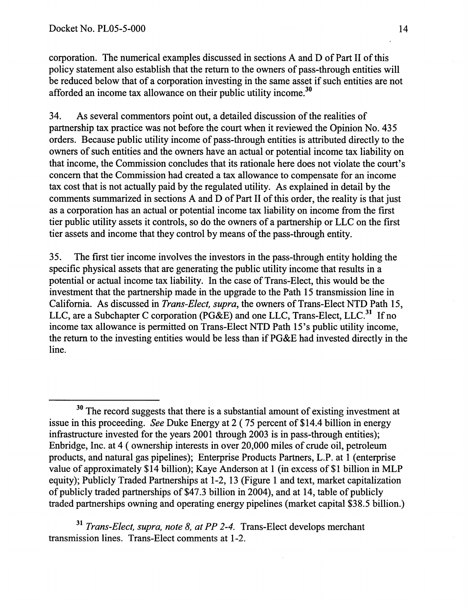corporation. The numerical examples discussed in sections A and D of Part II of this policy statement also establish that the return to the owners of pass-through entities will be reduced below that of a corporation investing in the same asset if such entities are not afforded an income tax allowance on their public utility income.<sup>30</sup>

34. As several commentors point out, a detailed discussion of the realities of partnership tax practice was not before the court when it reviewed the Opinion No. 435 orders. Because public utility income of pass-through entities is attributed directly to the owners of such entities and the owners have an actual or potential income tax liability on that income, the Commission concludes that its rationale here does not violate the court's concern that the Commission had created a tax allowance to compensate for an income tax cost that is not actually paid by the regulated utility. As explained in detail by the comments summarized in sections A and D of Part II of this order, the reality is that just as a corporation has an actual or potential income tax liability on income from the first tier public utility assets it controls, so do the owners of a partnership or LLC on the first tier assets and income that they control by means of the pass-through entity.

35. The first tier income involves the investors in the pass-through entity holding the specific physical assets that are generating the public utility income that results in a potential or actual income tax liability. In the case of Trans-Elect, this would be the investment that the partnership made in the upgrade to the Path 15 transmission line in California. As discussed in *Trans-Elect, supra,* the owners of Trans-Elect NTD Path 15, LLC, are a Subchapter C corporation (PG&E) and one LLC, Trans-Elect, LLC.<sup>31</sup> If no income tax allowance is permitted on Trans-Elect NTD Path 15's public utility income, the return to the investing entities would be less than if PG&E had invested directly in the line.

<sup>31</sup>*Trans-Elect, supra, note 8, at PP 2-4.* Trans-Elect develops merchant transmission lines. Trans-Elect comments at 1-2.

 $30$  The record suggests that there is a substantial amount of existing investment at issue in this proceeding. *See* Duke Energy at 2 (75 percent of \$14.4 billion in energy infrastructure invested for the years 2001 through 2003 is in pass-through entities); Enbridge, Inc. at 4 ( ownership interests in over 20,000 miles of crude oil, petroleum products, and natural gas pipelines); Enterprise Products Partners, L.P. at 1 (enterprise value of approximately \$14 billion); Kaye Anderson at 1 (in excess of \$1 billion in MLP equity); Publicly Traded Partnerships at 1-2, 13 (Figure 1 and text, market capitalization of publicly traded partnerships of\$47.3 billion in 2004), and at 14, table of publicly traded partnerships owning and operating energy pipelines (market capital \$38.5 billion.)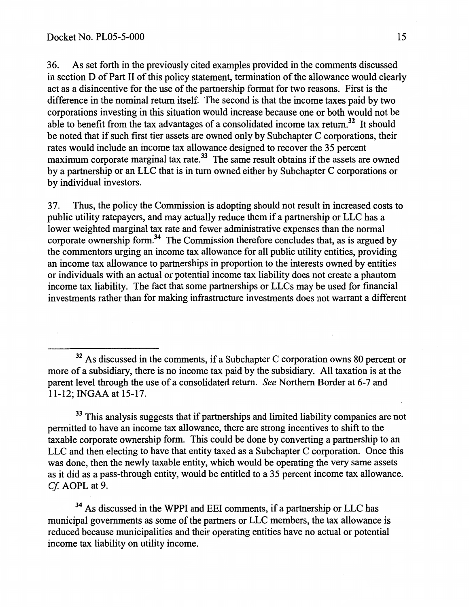36. As set forth in the previously cited examples provided in the comments discussed in section D of Part II of this policy statement, termination of the allowance would clearly act as a disincentive for the use of the partnership format for two reasons. First is the difference in the nominal return itself. The second is that the income taxes paid by two corporations investing in this situation would increase because one or both would not be able to benefit from the tax advantages of a consolidated income tax return.<sup>32</sup> It should be noted that if such first tier assets are owned only by Subchapter C corporations, their rates would include an income tax allowance designed to recover the 35 percent maximum corporate marginal tax rate.<sup>33</sup> The same result obtains if the assets are owned by a partnership or an LLC that is in turn owned either by Subchapter C corporations or by individual investors.

37. Thus, the policy the Commission is adopting should not result in increased costs to public utility ratepayers, and may actually reduce them if a partnership or LLC has a lower weighted marginal tax rate and fewer administrative expenses than the normal corporate ownership form. 34 The Commission therefore concludes that, as is argued by the commentors urging an income tax allowance for all public utility entities, providing an income tax allowance to partnerships in proportion to the interests owned by entities or individuals with an actual or potential income tax liability does not create a phantom income tax liability. The fact that some partnerships or LLCs may be used for fmancial investments rather than for making infrastructure investments does not warrant a different

 $32$  As discussed in the comments, if a Subchapter C corporation owns 80 percent or more of a subsidiary, there is no income tax paid by the subsidiary. All taxation is at the parent level through the use of a consolidated return. *See* Northern Border at 6-7 and 11-12; INGAA at 15-17.

<sup>33</sup> This analysis suggests that if partnerships and limited liability companies are not permitted to have an income tax allowance, there are strong incentives to shift to the taxable corporate ownership form. This could be done by converting a partnership to an LLC and then electing to have that entity taxed as a Subchapter C corporation. Once this was done, then the newly taxable entity, which would be operating the very same assets as it did as a pass-through entity, would be entitled to a 35 percent income tax allowance. *Cf.* AOPL at 9.

<sup>34</sup> As discussed in the WPPI and EEI comments, if a partnership or LLC has municipal governments as some of the partners or LLC members, the tax allowance is reduced because municipalities and their operating entities have no actual or potential income tax liability on utility income.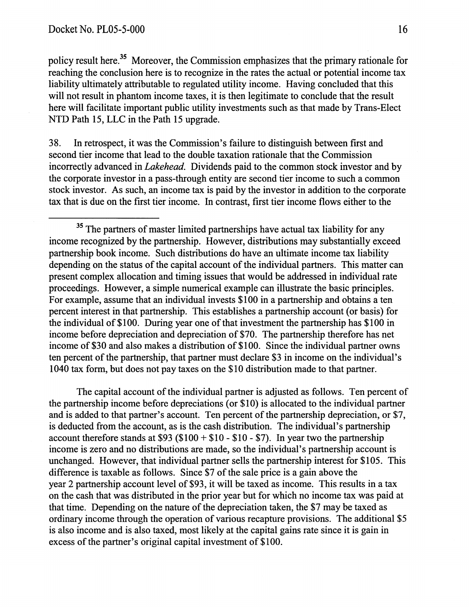policy result here.<sup>35</sup> Moreover, the Commission emphasizes that the primary rationale for reaching the conclusion here is to recognize in the rates the actual or potential income tax liability ultimately attributable to regulated utility income. Having concluded that this will not result in phantom income taxes, it is then legitimate to conclude that the result here will facilitate important public utility investments such as that made by Trans-Elect NTD Path 15, LLC in the Path 15 upgrade.

38. In retrospect, it was the Commission's failure to distinguish between first and second tier income that lead to the double taxation rationale that the Commission incorrectly advanced in *Lakehead.* Dividends paid to the common stock investor and by the corporate investor in a pass-through entity are second tier income to such a common stock investor. As such, an income tax is paid by the investor in addition to the corporate tax that is due on the first tier income. In contrast, first tier income flows either to the

<sup>35</sup> The partners of master limited partnerships have actual tax liability for any income recognized by the partnership. However, distributions may substantially exceed partnership book income. Such distributions do have an ultimate income tax liability depending on the status of the capital account of the individual partners. This matter can present complex allocation and timing issues that would be addressed in individual rate proceedings. However, a simple numerical example can illustrate the basic principles. For example, assume that an individual invests \$100 in a partnership and obtains a ten percent interest in that partnership. This establishes a partnership account (or basis) for the individual of\$100. During year one of that investment the partnership has \$100 in income before depreciation and depreciation of \$70. The partnership therefore has net income of \$30 and also makes a distribution of \$100. Since the individual partner owns ten percent of the partnership, that partner must declare \$3 in income on the individual's 1040 tax form, but does not pay taxes on the \$10 distribution made to that partner.

The capital account of the individual partner is adjusted as follows. Ten percent of the partnership income before depreciations (or \$10) is allocated to the individual partner and is added to that partner's account. Ten percent of the partnership depreciation, or \$7, is deducted from the account, as is the cash distribution. The individual's partnership account therefore stands at  $$93 ($100 + $10 - $10 - $7)$ . In year two the partnership income is zero and no distributions are made, so the individual's partnership account is unchanged. However, that individual partner sells the partnership interest for \$105. This difference is taxable as follows. Since \$7 of the sale price is a gain above the year 2 partnership account level of \$93, it will be taxed as income. This results in a tax on the cash that was distributed in the prior year but for which no income tax was paid at that time. Depending on the nature of the depreciation taken, the \$7 may be taxed as ordinary income through the operation of various recapture provisions. The additional \$5 is also income and is also taxed, most likely at the capital gains rate since it is gain in excess of the partner's original capital investment of \$100.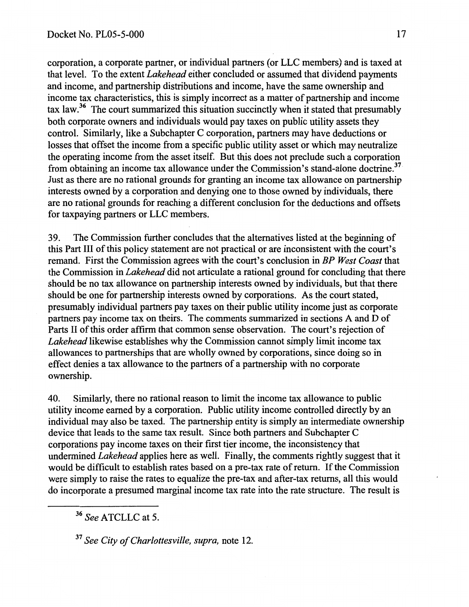corporation, a corporate partner, or individual partners (or LLC members) and is taxed at that level. To the extent *Lakehead* either concluded or assumed that dividend payments and income, and partnership distributions and income, have the same ownership and income tax characteristics, this is simply incorrect as a matter of partnership and income tax law.<sup>36</sup> The court summarized this situation succinctly when it stated that presumably both corporate owners and individuals would pay taxes on public utility assets they control. Similarly, like a Subchapter C corporation, partners may have deductions or losses that offset the income from a specific public utility asset or which may neutralize the operating income from the asset itself. But this does not preclude such a corporation from obtaining an income tax allowance under the Commission's stand-alone doctrine.<sup>37</sup> Just as there are no rational grounds for granting an income tax allowance on partnership interests owned by a corporation and denying one to those owned by individuals, there are no rational grounds for reaching a different conclusion for the deductions and offsets for taxpaying partners or LLC members.

39. The Commission further concludes that the alternatives listed at the beginning of this Part III of this policy statement are not practical or are inconsistent with the court's remand. First the Commission agrees with the court's conclusion in *BP West Coast* that the Commission in *Lakehead* did not articulate a rational ground for concluding that there should be no tax allowance on partnership interests owned by individuals, but that there should be one for partnership interests owned by corporations. As the court stated, presumably individual partners pay taxes on their public utility income just as corporate partners pay income tax on theirs. The comments summarized in sections A and D of Parts II of this order affirm that common sense observation. The court's rejection of *Lakehead* likewise establishes why the Commission cannot simply limit income tax allowances to partnerships that are wholly owned by corporations, since doing so in effect denies a tax allowance to the partners of a partnership with no corporate ownership.

40. Similarly, there no rational reason to limit the income tax allowance to public utility income earned by a corporation. Public utility income controlled directly by an individual may also be taxed. The partnership entity is simply an intermediate ownership device that leads to the same tax result. Since both partners and Subchapter C corporations pay income taxes on their first tier income, the inconsistency that undermined *Lakehead* applies here as well. Finally, the comments rightly suggest that it would be difficult to establish rates based on a pre-tax rate of return. If the Commission were simply to raise the rates to equalize the pre-tax and after-tax returns, all this would do incorporate a presumed marginal income tax rate into the rate structure. The result is

37 *See City of Charlottesville, supra,* note 12.

<sup>36</sup> *See* ATCLLC at 5.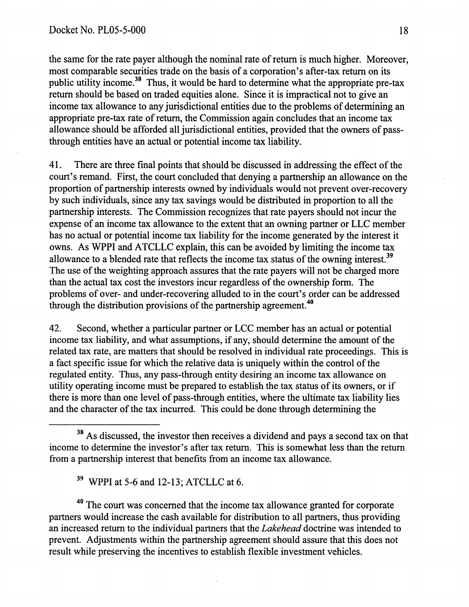the same for the rate payer although the nominal rate of return is much higher. Moreover, most comparable securities trade on the basis of a corporation's after-tax return on its public utility income.<sup>38</sup> Thus, it would be hard to determine what the appropriate pre-tax return should be based on traded equities alone. Since it is impractical not to give an income tax allowance to any jurisdictional entities due to the problems of determining an appropriate pre-tax rate of return, the Commission again concludes that an income tax allowance should be afforded all jurisdictional entities, provided that the owners of passthrough entities have an actual or potential income tax liability.

41. There are three final points that should be discussed in addressing the effect of the court's remand. First, the court concluded that denying a partnership an allowance on the proportion of partnership interests owned by individuals would not prevent over-recovery by such individuals, since any tax savings would be distributed in proportion to all the partnership interests. The Commission recognizes that rate payers should not incur the expense of an income tax allowance to the extent that an owning partner or LLC member has no actual or potential income tax liability for the income generated by the interest it owns. As WPPI and ATCLLC explain, this can be avoided by limiting the income tax allowance to a blended rate that reflects the income tax status of the owning interest.<sup>39</sup> The use of the weighting approach assures that the rate payers will not be charged more than the actual tax cost the investors incur regardless of the ownership form. The problems of over- and under-recovering alluded to in the court's order can be addressed through the distribution provisions of the partnership agreement.<sup>40</sup>

42. Second, whether a particular partner or LCC member has an actual or potential income tax liability, and what assumptions, if any, should determine the amount of the related tax rate, are matters that should be resolved in individual rate proceedings. This is a fact specific issue for which the relative data is uniquely within the control of the regulated entity. Thus, any pass-through entity desiring an income tax allowance on utility operating income must be prepared to establish the tax status of its owners, or if there is more than one level of pass-through entities, where the ultimate tax liability lies and the character of the tax incurred. This could be done through determining the

<sup>40</sup> The court was concerned that the income tax allowance granted for corporate partners would increase the cash available for distribution to all partners, thus providing an increased return to the individual partners that the *Lakehead* doctrine was intended to prevent. Adjustments within the partnership agreement should assure that this does not result while preserving the incentives to establish flexible investment vehicles.

<sup>&</sup>lt;sup>38</sup> As discussed, the investor then receives a dividend and pays a second tax on that income to determine the investor's after tax return. This is somewhat less than the return from a partnership interest that benefits from an income tax allowance.

<sup>39</sup> WPPI at 5-6 and 12-13; ATCLLC at 6.